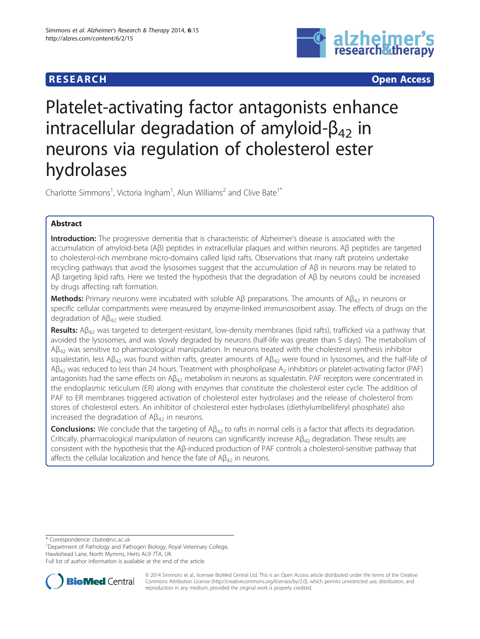# **RESEARCH CHEAR CHEAR CHEAR CHEAR CHEAR CHEAR CHEAR CHEAR CHEAR CHEAR CHEAR CHEAR CHEAR CHEAR CHEAR CHEAR CHEAR**



# Platelet-activating factor antagonists enhance intracellular degradation of amyloid- $\beta_{42}$  in neurons via regulation of cholesterol ester hydrolases

Charlotte Simmons<sup>1</sup>, Victoria Ingham<sup>1</sup>, Alun Williams<sup>2</sup> and Clive Bate<sup>1\*</sup>

# Abstract

Introduction: The progressive dementia that is characteristic of Alzheimer's disease is associated with the accumulation of amyloid-beta (Aβ) peptides in extracellular plaques and within neurons. Aβ peptides are targeted to cholesterol-rich membrane micro-domains called lipid rafts. Observations that many raft proteins undertake recycling pathways that avoid the lysosomes suggest that the accumulation of Aβ in neurons may be related to Aβ targeting lipid rafts. Here we tested the hypothesis that the degradation of Aβ by neurons could be increased by drugs affecting raft formation.

Methods: Primary neurons were incubated with soluble A $\beta$  preparations. The amounts of A $\beta_{42}$  in neurons or specific cellular compartments were measured by enzyme-linked immunosorbent assay. The effects of drugs on the degradation of  $A\beta_{42}$  were studied.

Results: Aβ<sub>42</sub> was targeted to detergent-resistant, low-density membranes (lipid rafts), trafficked via a pathway that avoided the lysosomes, and was slowly degraded by neurons (half-life was greater than 5 days). The metabolism of  $Aβ<sub>42</sub>$  was sensitive to pharmacological manipulation. In neurons treated with the cholesterol synthesis inhibitor squalestatin, less A $\beta_{42}$  was found within rafts, greater amounts of A $\beta_{42}$  were found in lysosomes, and the half-life of  $AB_{42}$  was reduced to less than 24 hours. Treatment with phospholipase  $A_2$  inhibitors or platelet-activating factor (PAF) antagonists had the same effects on  $A\beta_{42}$  metabolism in neurons as squalestatin. PAF receptors were concentrated in the endoplasmic reticulum (ER) along with enzymes that constitute the cholesterol ester cycle. The addition of PAF to ER membranes triggered activation of cholesterol ester hydrolases and the release of cholesterol from stores of cholesterol esters. An inhibitor of cholesterol ester hydrolases (diethylumbelliferyl phosphate) also increased the degradation of  $AB_{42}$  in neurons.

**Conclusions:** We conclude that the targeting of  $AB_{42}$  to rafts in normal cells is a factor that affects its degradation. Critically, pharmacological manipulation of neurons can significantly increase  $A\beta_{42}$  degradation. These results are consistent with the hypothesis that the Aβ-induced production of PAF controls a cholesterol-sensitive pathway that affects the cellular localization and hence the fate of  $A\beta_{42}$  in neurons.

\* Correspondence: [cbate@rvc.ac.uk](mailto:cbate@rvc.ac.uk) <sup>1</sup>

<sup>1</sup>Department of Pathology and Pathogen Biology, Royal Veterinary College, Hawkshead Lane, North Mymms, Herts AL9 7TA, UK

Full list of author information is available at the end of the article



© 2014 Simmons et al.; licensee BioMed Central Ltd. This is an Open Access article distributed under the terms of the Creative Commons Attribution License [\(http://creativecommons.org/licenses/by/2.0\)](http://creativecommons.org/licenses/by/2.0), which permits unrestricted use, distribution, and reproduction in any medium, provided the original work is properly credited.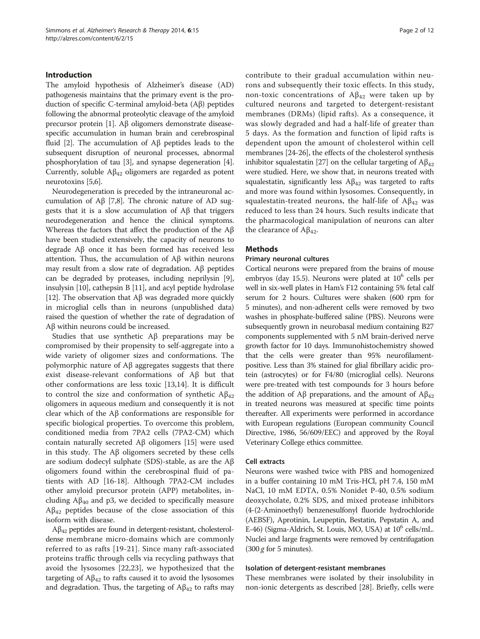#### Introduction

The amyloid hypothesis of Alzheimer's disease (AD) pathogenesis maintains that the primary event is the production of specific C-terminal amyloid-beta (Aβ) peptides following the abnormal proteolytic cleavage of the amyloid precursor protein [\[1](#page-10-0)]. Aβ oligomers demonstrate diseasespecific accumulation in human brain and cerebrospinal fluid [\[2](#page-10-0)]. The accumulation of Aβ peptides leads to the subsequent disruption of neuronal processes, abnormal phosphorylation of tau [[3\]](#page-10-0), and synapse degeneration [[4](#page-10-0)]. Currently, soluble  $A\beta_{42}$  oligomers are regarded as potent neurotoxins [\[5,6\]](#page-10-0).

Neurodegeneration is preceded by the intraneuronal accumulation of Aβ [[7,8](#page-10-0)]. The chronic nature of AD suggests that it is a slow accumulation of Aβ that triggers neurodegeneration and hence the clinical symptoms. Whereas the factors that affect the production of the Aβ have been studied extensively, the capacity of neurons to degrade Aβ once it has been formed has received less attention. Thus, the accumulation of Aβ within neurons may result from a slow rate of degradation. Aβ peptides can be degraded by proteases, including neprilysin [[9](#page-10-0)], insulysin [\[10](#page-10-0)], cathepsin B [\[11\]](#page-10-0), and acyl peptide hydrolase [[12](#page-10-0)]. The observation that  $\mathcal{AB}$  was degraded more quickly in microglial cells than in neurons (unpublished data) raised the question of whether the rate of degradation of Aβ within neurons could be increased.

Studies that use synthetic Aβ preparations may be compromised by their propensity to self-aggregate into a wide variety of oligomer sizes and conformations. The polymorphic nature of Aβ aggregates suggests that there exist disease-relevant conformations of Aβ but that other conformations are less toxic [\[13,14](#page-10-0)]. It is difficult to control the size and conformation of synthetic  $A\beta_{42}$ oligomers in aqueous medium and consequently it is not clear which of the Aβ conformations are responsible for specific biological properties. To overcome this problem, conditioned media from 7PA2 cells (7PA2-CM) which contain naturally secreted Aβ oligomers [[15](#page-10-0)] were used in this study. The Aβ oligomers secreted by these cells are sodium dodecyl sulphate (SDS)-stable, as are the Aβ oligomers found within the cerebrospinal fluid of patients with AD [[16](#page-10-0)-[18\]](#page-10-0). Although 7PA2-CM includes other amyloid precursor protein (APP) metabolites, including  $A\beta_{40}$  and p3, we decided to specifically measure  $A\beta_{42}$  peptides because of the close association of this isoform with disease.

 $A\beta_{42}$  peptides are found in detergent-resistant, cholesteroldense membrane micro-domains which are commonly referred to as rafts [\[19-21\]](#page-10-0). Since many raft-associated proteins traffic through cells via recycling pathways that avoid the lysosomes [\[22,23](#page-10-0)], we hypothesized that the targeting of  $A\beta_{42}$  to rafts caused it to avoid the lysosomes and degradation. Thus, the targeting of  $A\beta_{42}$  to rafts may contribute to their gradual accumulation within neurons and subsequently their toxic effects. In this study, non-toxic concentrations of  $Aβ<sub>42</sub>$  were taken up by cultured neurons and targeted to detergent-resistant membranes (DRMs) (lipid rafts). As a consequence, it was slowly degraded and had a half-life of greater than 5 days. As the formation and function of lipid rafts is dependent upon the amount of cholesterol within cell membranes [\[24](#page-10-0)[-26\]](#page-11-0), the effects of the cholesterol synthesis inhibitor squalestatin [\[27\]](#page-11-0) on the cellular targeting of  $A\beta_{42}$ were studied. Here, we show that, in neurons treated with squalestatin, significantly less  $A\beta_{42}$  was targeted to rafts and more was found within lysosomes. Consequently, in squalestatin-treated neurons, the half-life of  $A\beta_{42}$  was reduced to less than 24 hours. Such results indicate that the pharmacological manipulation of neurons can alter the clearance of  $Aβ<sub>42</sub>$ .

# Methods

#### Primary neuronal cultures

Cortical neurons were prepared from the brains of mouse embryos (day 15.5). Neurons were plated at  $10^6$  cells per well in six-well plates in Ham's F12 containing 5% fetal calf serum for 2 hours. Cultures were shaken (600 rpm for 5 minutes), and non-adherent cells were removed by two washes in phosphate-buffered saline (PBS). Neurons were subsequently grown in neurobasal medium containing B27 components supplemented with 5 nM brain-derived nerve growth factor for 10 days. Immunohistochemistry showed that the cells were greater than 95% neurofilamentpositive. Less than 3% stained for glial fibrillary acidic protein (astrocytes) or for F4/80 (microglial cells). Neurons were pre-treated with test compounds for 3 hours before the addition of Aβ preparations, and the amount of  $A\beta_{42}$ in treated neurons was measured at specific time points thereafter. All experiments were performed in accordance with European regulations (European community Council Directive, 1986, 56/609/EEC) and approved by the Royal Veterinary College ethics committee.

#### Cell extracts

Neurons were washed twice with PBS and homogenized in a buffer containing 10 mM Tris-HCl, pH 7.4, 150 mM NaCl, 10 mM EDTA, 0.5% Nonidet P-40, 0.5% sodium deoxycholate, 0.2% SDS, and mixed protease inhibitors (4-(2-Aminoethyl) benzenesulfonyl fluoride hydrochloride (AEBSF), Aprotinin, Leupeptin, Bestatin, Pepstatin A, and E-46) (Sigma-Aldrich, St. Louis, MO, USA) at 10<sup>6</sup> cells/mL. Nuclei and large fragments were removed by centrifugation  $(300 g$  for 5 minutes).

#### Isolation of detergent-resistant membranes

These membranes were isolated by their insolubility in non-ionic detergents as described [[28\]](#page-11-0). Briefly, cells were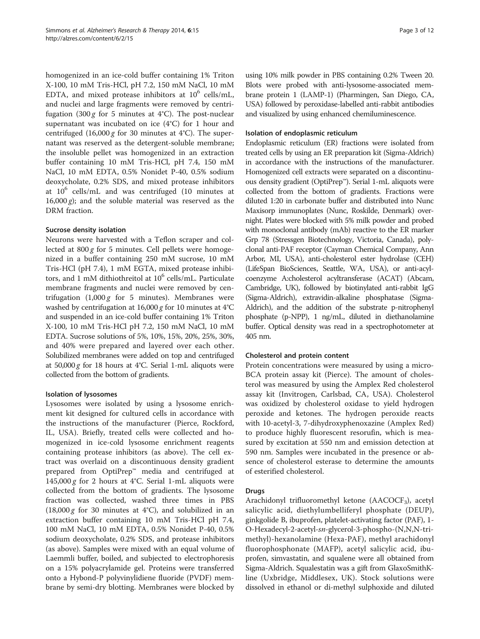homogenized in an ice-cold buffer containing 1% Triton X-100, 10 mM Tris-HCl, pH 7.2, 150 mM NaCl, 10 mM EDTA, and mixed protease inhibitors at  $10^6$  cells/mL, and nuclei and large fragments were removed by centrifugation  $(300 g$  for 5 minutes at 4°C). The post-nuclear supernatant was incubated on ice (4°C) for 1 hour and centrifuged  $(16,000 \text{ g}$  for 30 minutes at 4°C). The supernatant was reserved as the detergent-soluble membrane; the insoluble pellet was homogenized in an extraction buffer containing 10 mM Tris-HCl, pH 7.4, 150 mM NaCl, 10 mM EDTA, 0.5% Nonidet P-40, 0.5% sodium deoxycholate, 0.2% SDS, and mixed protease inhibitors at  $10^6$  cells/mL and was centrifuged (10 minutes at  $16,000 \text{ g}$ ); and the soluble material was reserved as the DRM fraction.

#### Sucrose density isolation

Neurons were harvested with a Teflon scraper and collected at  $800 g$  for 5 minutes. Cell pellets were homogenized in a buffer containing 250 mM sucrose, 10 mM Tris-HCl (pH 7.4), 1 mM EGTA, mixed protease inhibitors, and 1 mM dithiothreitol at  $10^6$  cells/mL. Particulate membrane fragments and nuclei were removed by centrifugation  $(1,000 g$  for 5 minutes). Membranes were washed by centrifugation at 16,000 g for 10 minutes at 4°C and suspended in an ice-cold buffer containing 1% Triton X-100, 10 mM Tris-HCl pH 7.2, 150 mM NaCl, 10 mM EDTA. Sucrose solutions of 5%, 10%, 15%, 20%, 25%, 30%, and 40% were prepared and layered over each other. Solubilized membranes were added on top and centrifuged at  $50,000 g$  for 18 hours at 4°C. Serial 1-mL aliquots were collected from the bottom of gradients.

#### Isolation of lysosomes

Lysosomes were isolated by using a lysosome enrichment kit designed for cultured cells in accordance with the instructions of the manufacturer (Pierce, Rockford, IL, USA). Briefly, treated cells were collected and homogenized in ice-cold lysosome enrichment reagents containing protease inhibitors (as above). The cell extract was overlaid on a discontinuous density gradient prepared from OptiPrep™ media and centrifuged at 145,000 g for 2 hours at 4°C. Serial 1-mL aliquots were collected from the bottom of gradients. The lysosome fraction was collected, washed three times in PBS  $(18,000 g$  for 30 minutes at 4°C), and solubilized in an extraction buffer containing 10 mM Tris-HCl pH 7.4, 100 mM NaCl, 10 mM EDTA, 0.5% Nonidet P-40, 0.5% sodium deoxycholate, 0.2% SDS, and protease inhibitors (as above). Samples were mixed with an equal volume of Laemmli buffer, boiled, and subjected to electrophoresis on a 15% polyacrylamide gel. Proteins were transferred onto a Hybond-P polyvinylidiene fluoride (PVDF) membrane by semi-dry blotting. Membranes were blocked by using 10% milk powder in PBS containing 0.2% Tween 20. Blots were probed with anti-lysosome-associated membrane protein 1 (LAMP-1) (Pharmingen, San Diego, CA, USA) followed by peroxidase-labelled anti-rabbit antibodies and visualized by using enhanced chemiluminescence.

#### Isolation of endoplasmic reticulum

Endoplasmic reticulum (ER) fractions were isolated from treated cells by using an ER preparation kit (Sigma-Aldrich) in accordance with the instructions of the manufacturer. Homogenized cell extracts were separated on a discontinuous density gradient (OptiPrep™). Serial 1-mL aliquots were collected from the bottom of gradients. Fractions were diluted 1:20 in carbonate buffer and distributed into Nunc Maxisorp immunoplates (Nunc, Roskilde, Denmark) overnight. Plates were blocked with 5% milk powder and probed with monoclonal antibody (mAb) reactive to the ER marker Grp 78 (Stressgen Biotechnology, Victoria, Canada), polyclonal anti-PAF receptor (Cayman Chemical Company, Ann Arbor, MI, USA), anti-cholesterol ester hydrolase (CEH) (LifeSpan BioSciences, Seattle, WA, USA), or anti-acylcoenzyme A:cholesterol acyltransferase (ACAT) (Abcam, Cambridge, UK), followed by biotinylated anti-rabbit IgG (Sigma-Aldrich), extravidin-alkaline phosphatase (Sigma-Aldrich), and the addition of the substrate p-nitrophenyl phosphate (p-NPP), 1 ng/mL, diluted in diethanolamine buffer. Optical density was read in a spectrophotometer at 405 nm.

#### Cholesterol and protein content

Protein concentrations were measured by using a micro-BCA protein assay kit (Pierce). The amount of cholesterol was measured by using the Amplex Red cholesterol assay kit (Invitrogen, Carlsbad, CA, USA). Cholesterol was oxidized by cholesterol oxidase to yield hydrogen peroxide and ketones. The hydrogen peroxide reacts with 10-acetyl-3, 7-dihydroxyphenoxazine (Amplex Red) to produce highly fluorescent resorufin, which is measured by excitation at 550 nm and emission detection at 590 nm. Samples were incubated in the presence or absence of cholesterol esterase to determine the amounts of esterified cholesterol.

# Drugs

Arachidonyl trifluoromethyl ketone ( $\text{AACOCF}_3$ ), acetyl salicylic acid, diethylumbelliferyl phosphate (DEUP), ginkgolide B, ibuprofen, platelet-activating factor (PAF), 1- O-Hexadecyl-2-acetyl-sn-glycerol-3-phospho-(N,N,N-trimethyl)-hexanolamine (Hexa-PAF), methyl arachidonyl fluorophosphonate (MAFP), acetyl salicylic acid, ibuprofen, simvastatin, and squalene were all obtained from Sigma-Aldrich. Squalestatin was a gift from GlaxoSmithKline (Uxbridge, Middlesex, UK). Stock solutions were dissolved in ethanol or di-methyl sulphoxide and diluted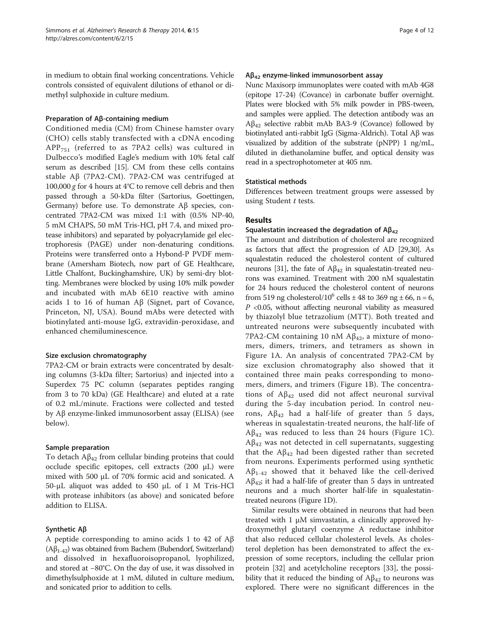in medium to obtain final working concentrations. Vehicle controls consisted of equivalent dilutions of ethanol or dimethyl sulphoxide in culture medium.

#### Preparation of Aβ-containing medium

Conditioned media (CM) from Chinese hamster ovary (CHO) cells stably transfected with a cDNA encoding  $APP<sub>751</sub>$  (referred to as 7PA2 cells) was cultured in Dulbecco's modified Eagle's medium with 10% fetal calf serum as described [\[15\]](#page-10-0). CM from these cells contains stable Aβ (7PA2-CM). 7PA2-CM was centrifuged at 100,000 g for 4 hours at  $4^{\circ}$ C to remove cell debris and then passed through a 50-kDa filter (Sartorius, Goettingen, Germany) before use. To demonstrate Aβ species, concentrated 7PA2-CM was mixed 1:1 with (0.5% NP-40, 5 mM CHAPS, 50 mM Tris-HCl, pH 7.4, and mixed protease inhibitors) and separated by polyacrylamide gel electrophoresis (PAGE) under non-denaturing conditions. Proteins were transferred onto a Hybond-P PVDF membrane (Amersham Biotech, now part of GE Healthcare, Little Chalfont, Buckinghamshire, UK) by semi-dry blotting. Membranes were blocked by using 10% milk powder and incubated with mAb 6E10 reactive with amino acids 1 to 16 of human Aβ (Signet, part of Covance, Princeton, NJ, USA). Bound mAbs were detected with biotinylated anti-mouse IgG, extravidin-peroxidase, and enhanced chemiluminescence.

#### Size exclusion chromatography

7PA2-CM or brain extracts were concentrated by desalting columns (3-kDa filter; Sartorius) and injected into a Superdex 75 PC column (separates peptides ranging from 3 to 70 kDa) (GE Healthcare) and eluted at a rate of 0.2 mL/minute. Fractions were collected and tested by Aβ enzyme-linked immunosorbent assay (ELISA) (see below).

# Sample preparation

To detach  $A\beta_{42}$  from cellular binding proteins that could occlude specific epitopes, cell extracts (200 μL) were mixed with 500 μL of 70% formic acid and sonicated. A 50-μL aliquot was added to 450 μL of 1 M Tris-HCl with protease inhibitors (as above) and sonicated before addition to ELISA.

# Synthetic Aβ

A peptide corresponding to amino acids 1 to 42 of Aβ  $(Aβ<sub>1-42</sub>)$  was obtained from Bachem (Bubendorf, Switzerland) and dissolved in hexafluoroisopropanol, lyophilized, and stored at −80°C. On the day of use, it was dissolved in dimethylsulphoxide at 1 mM, diluted in culture medium, and sonicated prior to addition to cells.

#### $A\beta_{42}$  enzyme-linked immunosorbent assay

Nunc Maxisorp immunoplates were coated with mAb 4G8 (epitope 17-24) (Covance) in carbonate buffer overnight. Plates were blocked with 5% milk powder in PBS-tween, and samples were applied. The detection antibody was an  $A\beta_{42}$  selective rabbit mAb BA3-9 (Covance) followed by biotinylated anti-rabbit IgG (Sigma-Aldrich). Total Aβ was visualized by addition of the substrate (pNPP) 1 ng/mL, diluted in diethanolamine buffer, and optical density was read in a spectrophotometer at 405 nm.

#### Statistical methods

Differences between treatment groups were assessed by using Student  $t$  tests.

# Results

#### Squalestatin increased the degradation of  $AB_{42}$

The amount and distribution of cholesterol are recognized as factors that affect the progression of AD [\[29,30](#page-11-0)]. As squalestatin reduced the cholesterol content of cultured neurons [\[31\]](#page-11-0), the fate of  $Aβ<sub>42</sub>$  in squalestatin-treated neurons was examined. Treatment with 200 nM squalestatin for 24 hours reduced the cholesterol content of neurons from 519 ng cholesterol/10<sup>6</sup> cells  $\pm$  48 to 369 ng  $\pm$  66, n = 6,  $P$  <0.05, without affecting neuronal viability as measured by thiazolyl blue tetrazolium (MTT). Both treated and untreated neurons were subsequently incubated with 7PA2-CM containing 10 nM  $A\beta_{42}$ , a mixture of monomers, dimers, trimers, and tetramers as shown in Figure [1](#page-4-0)A. An analysis of concentrated 7PA2-CM by size exclusion chromatography also showed that it contained three main peaks corresponding to monomers, dimers, and trimers (Figure [1B](#page-4-0)). The concentrations of  $A\beta_{42}$  used did not affect neuronal survival during the 5-day incubation period. In control neurons,  $A\beta_{42}$  had a half-life of greater than 5 days, whereas in squalestatin-treated neurons, the half-life of  $Aβ<sub>42</sub>$  was reduced to less than 24 hours (Figure [1](#page-4-0)C).  $A\beta_{42}$  was not detected in cell supernatants, suggesting that the  $A\beta_{42}$  had been digested rather than secreted from neurons. Experiments performed using synthetic  $A\beta_{1-42}$  showed that it behaved like the cell-derived  $A\beta_{42}$ ; it had a half-life of greater than 5 days in untreated neurons and a much shorter half-life in squalestatintreated neurons (Figure [1](#page-4-0)D).

Similar results were obtained in neurons that had been treated with  $1 \mu M$  simvastatin, a clinically approved hydroxymethyl glutaryl coenzyme A reductase inhibitor that also reduced cellular cholesterol levels. As cholesterol depletion has been demonstrated to affect the expression of some receptors, including the cellular prion protein [\[32](#page-11-0)] and acetylcholine receptors [[33\]](#page-11-0), the possibility that it reduced the binding of  $A\beta_{42}$  to neurons was explored. There were no significant differences in the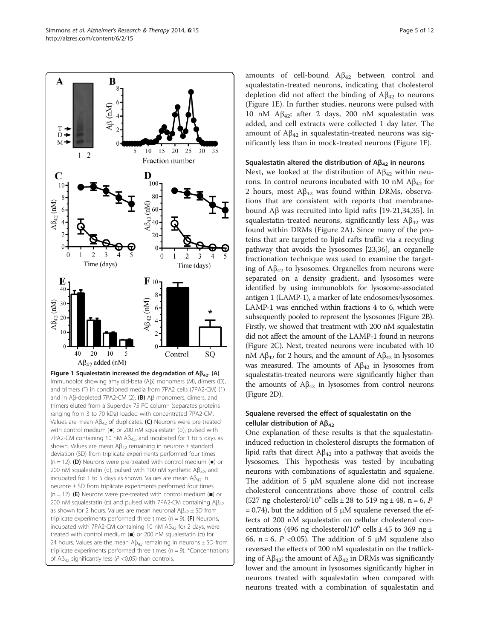amounts of cell-bound  $A\beta_{42}$  between control and squalestatin-treated neurons, indicating that cholesterol depletion did not affect the binding of  $A\beta_{42}$  to neurons (Figure 1E). In further studies, neurons were pulsed with 10 nM Aβ<sub>42</sub>; after 2 days, 200 nM squalestatin was added, and cell extracts were collected 1 day later. The amount of  $A\beta_{42}$  in squalestatin-treated neurons was significantly less than in mock-treated neurons (Figure 1F).

# Squalestatin altered the distribution of  $A\beta_{42}$  in neurons

Next, we looked at the distribution of  $A\beta_{42}$  within neurons. In control neurons incubated with 10 nM  $\text{A}\beta_{42}$  for 2 hours, most  $A\beta_{42}$  was found within DRMs, observations that are consistent with reports that membranebound Aβ was recruited into lipid rafts [\[19-21](#page-10-0)[,34,35](#page-11-0)]. In squalestatin-treated neurons, significantly less  $A\beta_{42}$  was found within DRMs (Figure [2A](#page-5-0)). Since many of the proteins that are targeted to lipid rafts traffic via a recycling pathway that avoids the lysosomes [[23](#page-10-0),[36](#page-11-0)], an organelle fractionation technique was used to examine the targeting of  $A\beta_{42}$  to lysosomes. Organelles from neurons were separated on a density gradient, and lysosomes were identified by using immunoblots for lysosome-associated antigen 1 (LAMP-1), a marker of late endosomes/lysosomes. LAMP-1 was enriched within fractions 4 to 6, which were subsequently pooled to represent the lysosomes (Figure [2B](#page-5-0)). Firstly, we showed that treatment with 200 nM squalestatin did not affect the amount of the LAMP-1 found in neurons (Figure [2](#page-5-0)C). Next, treated neurons were incubated with 10 nM  $\text{A}\beta_{42}$  for 2 hours, and the amount of  $\text{A}\beta_{42}$  in lysosomes was measured. The amounts of  $A\beta_{42}$  in lysosomes from squalestatin-treated neurons were significantly higher than the amounts of  $A\beta_{42}$  in lysosomes from control neurons (Figure [2](#page-5-0)D).

# Squalene reversed the effect of squalestatin on the cellular distribution of  $Aβ<sub>42</sub>$

One explanation of these results is that the squalestatininduced reduction in cholesterol disrupts the formation of lipid rafts that direct  $A\beta_{42}$  into a pathway that avoids the lysosomes. This hypothesis was tested by incubating neurons with combinations of squalestatin and squalene. The addition of 5 μM squalene alone did not increase cholesterol concentrations above those of control cells (527 ng cholesterol/10<sup>6</sup> cells  $\pm$  28 to 519 ng  $\pm$  48, n = 6, P  $= 0.74$ ), but the addition of 5  $\mu$ M squalene reversed the effects of 200 nM squalestatin on cellular cholesterol concentrations (496 ng cholesterol/10<sup>6</sup> cells  $\pm$  45 to 369 ng  $\pm$ 66, n = 6, P < 0.05). The addition of 5 μM squalene also reversed the effects of 200 nM squalestatin on the trafficking of Aβ<sub>42</sub>; the amount of Aβ<sub>42</sub> in DRMs was significantly lower and the amount in lysosomes significantly higher in neurons treated with squalestatin when compared with neurons treated with a combination of squalestatin and

and trimers (T) in conditioned media from 7PA2 cells (7PA2-CM) (1) and in Aβ-depleted 7PA2-CM (2). (B) Aβ monomers, dimers, and trimers eluted from a Superdex 75 PC column (separates proteins ranging from 3 to 70 kDa) loaded with concentrated 7PA2-CM. Values are mean  $AB_{42}$  of duplicates. (C) Neurons were pre-treated with control medium (●) or 200 nM squalestatin (○), pulsed with 7PA2-CM containing 10 nM A $β_{42}$ , and incubated for 1 to 5 days as shown. Values are mean  $A\beta_{42}$  remaining in neurons  $\pm$  standard deviation (SD) from triplicate experiments performed four times (n = 12). (D) Neurons were pre-treated with control medium  $\left( \bullet \right)$  or 200 nM squalestatin ( $\circ$ ), pulsed with 100 nM synthetic Aβ<sub>42</sub>, and incubated for 1 to 5 days as shown. Values are mean  $A\beta_{42}$  in neurons ± SD from triplicate experiments performed four times (n = 12). (E) Neurons were pre-treated with control medium ( $\blacksquare$ ) or 200 nM squalestatin ( $\Box$ ) and pulsed with 7PA2-CM containing Aβ<sub>42</sub> as shown for 2 hours. Values are mean neuronal  $A\beta_{42} \pm SD$  from triplicate experiments performed three times (n = 9). (F) Neurons, incubated with 7PA2-CM containing 10 nM  $\mathsf{AB}_{42}$  for 2 days, were treated with control medium (■) or 200 nM squalestatin (□) for 24 hours. Values are the mean  $AB_{42}$  remaining in neurons  $\pm$  SD from triplicate experiments performed three times ( $n = 9$ ). \*Concentrations of A $\beta_{42}$  significantly less (P <0.05) than controls.

<span id="page-4-0"></span>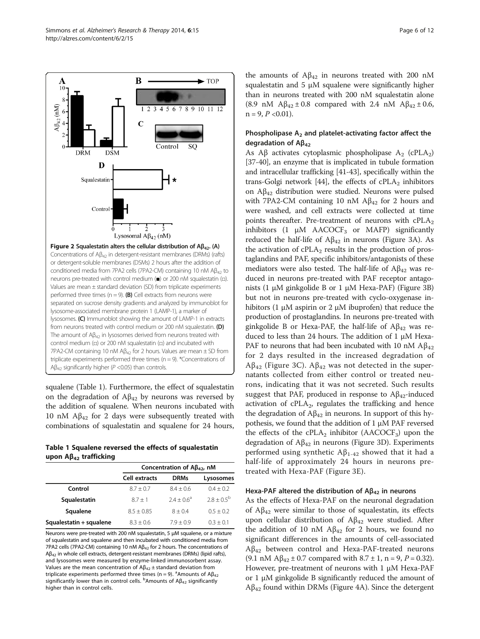

<span id="page-5-0"></span>

squalene (Table 1). Furthermore, the effect of squalestatin on the degradation of  $A\beta_{42}$  by neurons was reversed by the addition of squalene. When neurons incubated with 10 nM  $\text{A}\beta_{42}$  for 2 days were subsequently treated with combinations of squalestatin and squalene for 24 hours,

Table 1 Squalene reversed the effects of squalestatin upon Aβ<sub>42</sub> trafficking

|                         | Concentration of $A\beta_{42}$ , nM |             |                 |
|-------------------------|-------------------------------------|-------------|-----------------|
|                         | <b>Cell extracts</b>                | <b>DRMs</b> | Lysosomes       |
| Control                 | $8.7 + 0.7$                         | $8.4 + 0.6$ | $0.4 + 0.2$     |
| Squalestatin            | $87 + 1$                            | $74 + 06^a$ | $2.8 + 0.5^{b}$ |
| Squalene                | $8.5 + 0.85$                        | $8 + 0.4$   | $0.5 + 0.2$     |
| Squalestatin + squalene | $8.3 + 0.6$                         | $7.9 + 0.9$ | $0.3 + 0.1$     |

Neurons were pre-treated with 200 nM squalestatin, 5 μM squalene, or a mixture of squalestatin and squalene and then incubated with conditioned media from 7PA2 cells (7PA2-CM) containing 10 nM  $A\beta_{42}$  for 2 hours. The concentrations of Aβ<sup>42</sup> in whole cell extracts, detergent-resistant membranes (DRMs) (lipid rafts), and lysosomes were measured by enzyme-linked immunosorbent assay. Values are the mean concentration of  $A\beta_{42}$  ± standard deviation from triplicate experiments performed three times (n = 9). <sup>a</sup>Amounts of  $AB_{42}$ significantly lower than in control cells.  $^{\rm b}$ Amounts of A $\beta_{42}$  significantly higher than in control cells.

the amounts of  $Aβ<sub>42</sub>$  in neurons treated with 200 nM squalestatin and 5 μM squalene were significantly higher than in neurons treated with 200 nM squalestatin alone (8.9 nM  $A\beta_{42} \pm 0.8$  compared with 2.4 nM  $A\beta_{42} \pm 0.6$ ,  $n = 9, P < 0.01$ ).

# Phospholipase  $A_2$  and platelet-activating factor affect the degradation of  $A\beta_{42}$

As A $\beta$  activates cytoplasmic phospholipase A<sub>2</sub> (cPLA<sub>2</sub>) [[37](#page-11-0)-[40\]](#page-11-0), an enzyme that is implicated in tubule formation and intracellular trafficking [\[41-43](#page-11-0)], specifically within the trans-Golgi network [[44\]](#page-11-0), the effects of  $cPLA_2$  inhibitors on  $A\beta_{42}$  distribution were studied. Neurons were pulsed with 7PA2-CM containing 10 nM  $\text{A}\beta_{42}$  for 2 hours and were washed, and cell extracts were collected at time points thereafter. Pre-treatment of neurons with  $cPLA_2$ inhibitors  $(1 \mu M \text{ AACOCF}_3 \text{ or } MAFP)$  significantly reduced the half-life of  $A\beta_{42}$  in neurons (Figure [3A](#page-6-0)). As the activation of  $cPLA_2$  results in the production of prostaglandins and PAF, specific inhibitors/antagonists of these mediators were also tested. The half-life of  $A\beta_{42}$  was reduced in neurons pre-treated with PAF receptor antagonists (1 μM ginkgolide B or 1 μM Hexa-PAF) (Figure [3B](#page-6-0)) but not in neurons pre-treated with cyclo-oxygenase inhibitors (1 μM aspirin or 2 μM ibuprofen) that reduce the production of prostaglandins. In neurons pre-treated with ginkgolide B or Hexa-PAF, the half-life of  $A\beta_{42}$  was reduced to less than 24 hours. The addition of 1 μM Hexa-PAF to neurons that had been incubated with 10 nM  $\text{A}\beta_{42}$ for 2 days resulted in the increased degradation of Aβ<sub>42</sub> (Figure [3C](#page-6-0)). Aβ<sub>42</sub> was not detected in the supernatants collected from either control or treated neurons, indicating that it was not secreted. Such results suggest that PAF, produced in response to  $A\beta_{42}$ -induced activation of  $cPLA<sub>2</sub>$ , regulates the trafficking and hence the degradation of  $A\beta_{42}$  in neurons. In support of this hypothesis, we found that the addition of 1 μM PAF reversed the effects of the  $cPLA_2$  inhibitor (AACOCF<sub>3</sub>) upon the degradation of  $A\beta_{42}$  in neurons (Figure [3D](#page-6-0)). Experiments performed using synthetic  $Aβ_{1-42}$  showed that it had a half-life of approximately 24 hours in neurons pretreated with Hexa-PAF (Figure [3](#page-6-0)E).

# Hexa-PAF altered the distribution of  $AB_{42}$  in neurons

As the effects of Hexa-PAF on the neuronal degradation of  $A\beta_{42}$  were similar to those of squalestatin, its effects upon cellular distribution of  $Aβ<sub>42</sub>$  were studied. After the addition of 10 nM  $\mathbf{A}\beta_{42}$  for 2 hours, we found no significant differences in the amounts of cell-associated  $A\beta_{42}$  between control and Hexa-PAF-treated neurons (9.1 nM  $A\beta_{42} \pm 0.7$  compared with  $8.7 \pm 1$ , n = 9, P = 0.32). However, pre-treatment of neurons with 1 μM Hexa-PAF or 1 μM ginkgolide B significantly reduced the amount of  $Aβ<sub>42</sub>$  found within DRMs (Figure [4](#page-6-0)A). Since the detergent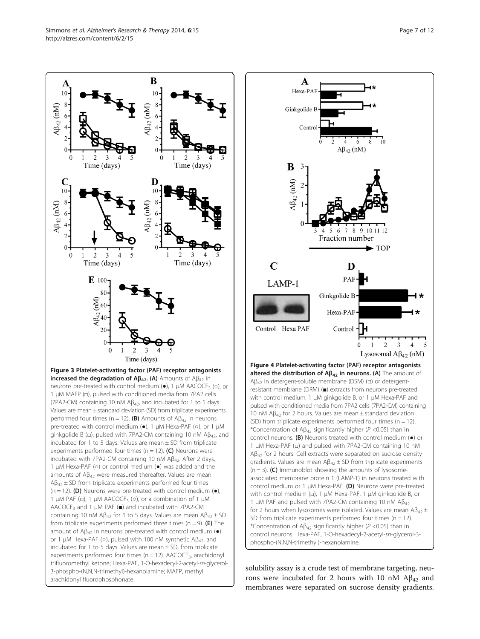<span id="page-6-0"></span>



solubility assay is a crude test of membrane targeting, neurons were incubated for 2 hours with 10 nM  $\text{A}\beta_{42}$  and membranes were separated on sucrose density gradients.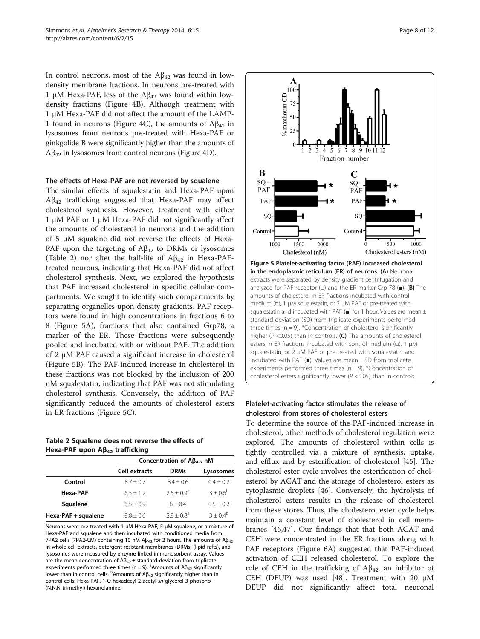In control neurons, most of the  $A\beta_{42}$  was found in lowdensity membrane fractions. In neurons pre-treated with 1 μM Hexa-PAF, less of the  $A\beta_{42}$  was found within lowdensity fractions (Figure [4](#page-6-0)B). Although treatment with 1 μM Hexa-PAF did not affect the amount of the LAMP-1 found in neurons (Figure [4](#page-6-0)C), the amounts of  $A\beta_{42}$  in lysosomes from neurons pre-treated with Hexa-PAF or ginkgolide B were significantly higher than the amounts of  $A\beta_{42}$  in lysosomes from control neurons (Figure [4](#page-6-0)D).

#### The effects of Hexa-PAF are not reversed by squalene

The similar effects of squalestatin and Hexa-PAF upon  $A\beta_{42}$  trafficking suggested that Hexa-PAF may affect cholesterol synthesis. However, treatment with either 1 μM PAF or 1 μM Hexa-PAF did not significantly affect the amounts of cholesterol in neurons and the addition of 5 μM squalene did not reverse the effects of Hexa-PAF upon the targeting of  $A\beta_{42}$  to DRMs or lysosomes (Table 2) nor alter the half-life of  $A\beta_{42}$  in Hexa-PAFtreated neurons, indicating that Hexa-PAF did not affect cholesterol synthesis. Next, we explored the hypothesis that PAF increased cholesterol in specific cellular compartments. We sought to identify such compartments by separating organelles upon density gradients. PAF receptors were found in high concentrations in fractions 6 to 8 (Figure 5A), fractions that also contained Grp78, a marker of the ER. These fractions were subsequently pooled and incubated with or without PAF. The addition of 2 μM PAF caused a significant increase in cholesterol (Figure 5B). The PAF-induced increase in cholesterol in these fractions was not blocked by the inclusion of 200 nM squalestatin, indicating that PAF was not stimulating cholesterol synthesis. Conversely, the addition of PAF significantly reduced the amounts of cholesterol esters in ER fractions (Figure 5C).

#### Table 2 Squalene does not reverse the effects of Hexa-PAF upon Aβ<sub>42</sub> trafficking

|                     | Concentration of $A\beta_{42}$ , nM |               |             |
|---------------------|-------------------------------------|---------------|-------------|
|                     | <b>Cell extracts</b>                | <b>DRMs</b>   | Lysosomes   |
| Control             | $8.7 + 0.7$                         | $8.4 + 0.6$   | $0.4 + 0.2$ |
| Hexa-PAF            | $8.5 + 1.2$                         | $2.5 + 0.9^a$ | $3 + 0.6^b$ |
| Squalene            | $8.5 + 0.9$                         | $8 + 0.4$     | $0.5 + 0.2$ |
| Hexa-PAF + squalene | $8.8 + 0.6$                         | $2.8 + 0.8^a$ | $3 + 0.4^b$ |

Neurons were pre-treated with 1 μM Hexa-PAF, 5 μM squalene, or a mixture of Hexa-PAF and squalene and then incubated with conditioned media from 7PA2 cells (7PA2-CM) containing 10 nM  $A\beta_{42}$  for 2 hours. The amounts of  $A\beta_{42}$ in whole cell extracts, detergent-resistant membranes (DRMs) (lipid rafts), and lysosomes were measured by enzyme-linked immunosorbent assay. Values are the mean concentration of  $A\beta_{42} \pm$  standard deviation from triplicate experiments performed three times (n = 9). <sup>a</sup>Amounts of  $A\beta_{42}$  significantly lower than in control cells.  $^{\text{b}}$ Amounts of A $\beta_{42}$  significantly higher than in control cells. Hexa-PAF, 1-O-hexadecyl-2-acetyl-sn-glycerol-3-phospho- (N,N,N-trimethyl)-hexanolamine.



# Platelet-activating factor stimulates the release of cholesterol from stores of cholesterol esters

To determine the source of the PAF-induced increase in cholesterol, other methods of cholesterol regulation were explored. The amounts of cholesterol within cells is tightly controlled via a mixture of synthesis, uptake, and efflux and by esterification of cholesterol [\[45](#page-11-0)]. The cholesterol ester cycle involves the esterification of cholesterol by ACAT and the storage of cholesterol esters as cytoplasmic droplets [[46\]](#page-11-0). Conversely, the hydrolysis of cholesterol esters results in the release of cholesterol from these stores. Thus, the cholesterol ester cycle helps maintain a constant level of cholesterol in cell membranes [\[46,47\]](#page-11-0). Our findings that that both ACAT and CEH were concentrated in the ER fractions along with PAF receptors (Figure [6A](#page-8-0)) suggested that PAF-induced activation of CEH released cholesterol. To explore the role of CEH in the trafficking of  $A\beta_{42}$ , an inhibitor of CEH (DEUP) was used [[48](#page-11-0)]. Treatment with 20  $\mu$ M DEUP did not significantly affect total neuronal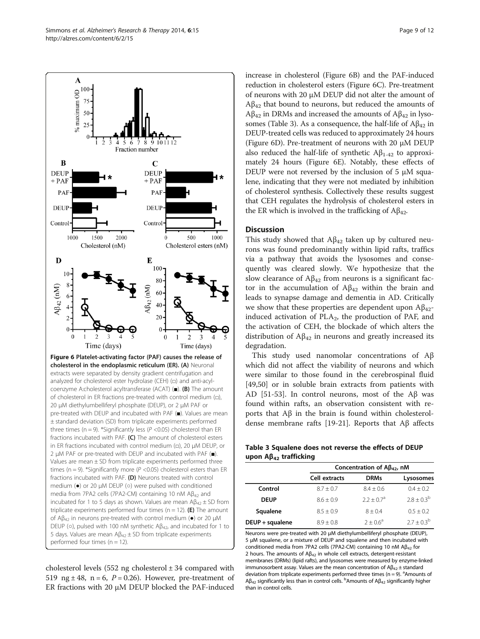<span id="page-8-0"></span>

cholesterol levels (552 ng cholesterol  $\pm$  34 compared with 519 ng  $\pm$  48, n = 6, P = 0.26). However, pre-treatment of ER fractions with 20 μM DEUP blocked the PAF-induced increase in cholesterol (Figure 6B) and the PAF-induced reduction in cholesterol esters (Figure 6C). Pre-treatment of neurons with 20 μM DEUP did not alter the amount of  $A\beta_{42}$  that bound to neurons, but reduced the amounts of  $A\beta_{42}$  in DRMs and increased the amounts of  $A\beta_{42}$  in lysosomes (Table 3). As a consequence, the half-life of  $A\beta_{42}$  in DEUP-treated cells was reduced to approximately 24 hours (Figure 6D). Pre-treatment of neurons with 20 μM DEUP also reduced the half-life of synthetic  $A\beta_{1-42}$  to approximately 24 hours (Figure 6E). Notably, these effects of DEUP were not reversed by the inclusion of 5 μM squalene, indicating that they were not mediated by inhibition of cholesterol synthesis. Collectively these results suggest that CEH regulates the hydrolysis of cholesterol esters in the ER which is involved in the trafficking of  $A\beta_{42}$ .

#### **Discussion**

This study showed that  $A\beta_{42}$  taken up by cultured neurons was found predominantly within lipid rafts, traffics via a pathway that avoids the lysosomes and consequently was cleared slowly. We hypothesize that the slow clearance of  $A\beta_{42}$  from neurons is a significant factor in the accumulation of  $A\beta_{42}$  within the brain and leads to synapse damage and dementia in AD. Critically we show that these properties are dependent upon  $A\beta_{42}$ induced activation of  $PLA<sub>2</sub>$ , the production of PAF, and the activation of CEH, the blockade of which alters the distribution of  $A\beta_{42}$  in neurons and greatly increased its degradation.

This study used nanomolar concentrations of Aβ which did not affect the viability of neurons and which were similar to those found in the cerebrospinal fluid [[49,50\]](#page-11-0) or in soluble brain extracts from patients with AD [\[51-53](#page-11-0)]. In control neurons, most of the Aβ was found within rafts, an observation consistent with reports that Aβ in the brain is found within cholesteroldense membrane rafts [\[19](#page-10-0)-[21\]](#page-10-0). Reports that Aβ affects

Table 3 Squalene does not reverse the effects of DEUP upon Aβ<sub>42</sub> trafficking

|                 | Concentration of $\mathsf{AB}_{42}$ , nM |              |                 |  |
|-----------------|------------------------------------------|--------------|-----------------|--|
|                 | Cell extracts                            | <b>DRMs</b>  | Lysosomes       |  |
| Control         | $8.7 + 0.7$                              | $8.4 + 0.6$  | $0.4 + 0.2$     |  |
| <b>DEUP</b>     | $8.6 + 0.9$                              | $2.2 + 0.7a$ | $2.8 + 0.3^{b}$ |  |
| Squalene        | $8.5 + 0.9$                              | $8 + 0.4$    | $0.5 + 0.2$     |  |
| DEUP + squalene | $8.9 + 0.8$                              | $2 + 0.6^a$  | $2.7 + 0.3^{b}$ |  |

Neurons were pre-treated with 20 μM diethylumbelliferyl phosphate (DEUP), 5 μM squalene, or a mixture of DEUP and squalene and then incubated with conditioned media from 7PA2 cells (7PA2-CM) containing 10 nM  $AB_{42}$  for 2 hours. The amounts of  $A\beta_{42}$  in whole cell extracts, detergent-resistant membranes (DRMs) (lipid rafts), and lysosomes were measured by enzyme-linked immunosorbent assay. Values are the mean concentration of  $A\beta_{42}$  ± standard deviation from triplicate experiments performed three times ( $n = 9$ ). <sup>a</sup>Amounts of Aβ<sub>42</sub> significantly less than in control cells. <sup>b</sup>Amounts of Aβ<sub>42</sub> significantly higher than in control cells.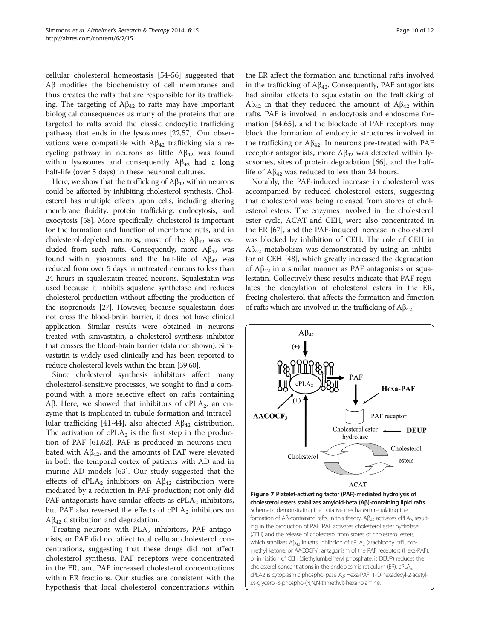<span id="page-9-0"></span>cellular cholesterol homeostasis [[54-56\]](#page-11-0) suggested that Aβ modifies the biochemistry of cell membranes and thus creates the rafts that are responsible for its trafficking. The targeting of  $Aβ<sub>42</sub>$  to rafts may have important biological consequences as many of the proteins that are targeted to rafts avoid the classic endocytic trafficking pathway that ends in the lysosomes [[22](#page-10-0),[57](#page-11-0)]. Our observations were compatible with  $Aβ<sub>42</sub>$  trafficking via a recycling pathway in neurons as little  $A\beta_{42}$  was found within lysosomes and consequently  $A\beta_{42}$  had a long half-life (over 5 days) in these neuronal cultures.

Here, we show that the trafficking of  $A\beta_{42}$  within neurons could be affected by inhibiting cholesterol synthesis. Cholesterol has multiple effects upon cells, including altering membrane fluidity, protein trafficking, endocytosis, and exocytosis [\[58\]](#page-11-0). More specifically, cholesterol is important for the formation and function of membrane rafts, and in cholesterol-depleted neurons, most of the  $A\beta_{42}$  was excluded from such rafts. Consequently, more  $A\beta_{42}$  was found within lysosomes and the half-life of  $A\beta_{42}$  was reduced from over 5 days in untreated neurons to less than 24 hours in squalestatin-treated neurons. Squalestatin was used because it inhibits squalene synthetase and reduces cholesterol production without affecting the production of the isoprenoids [\[27\]](#page-11-0). However, because squalestatin does not cross the blood-brain barrier, it does not have clinical application. Similar results were obtained in neurons treated with simvastatin, a cholesterol synthesis inhibitor that crosses the blood-brain barrier (data not shown). Simvastatin is widely used clinically and has been reported to reduce cholesterol levels within the brain [[59,60\]](#page-11-0).

Since cholesterol synthesis inhibitors affect many cholesterol-sensitive processes, we sought to find a compound with a more selective effect on rafts containing Aβ. Here, we showed that inhibitors of cPLA<sub>2</sub>, an enzyme that is implicated in tubule formation and intracel-lular trafficking [\[41](#page-11-0)-[44\]](#page-11-0), also affected  $A\beta_{42}$  distribution. The activation of  $cPLA_2$  is the first step in the production of PAF [[61,62\]](#page-11-0). PAF is produced in neurons incubated with  $A\beta_{42}$ , and the amounts of PAF were elevated in both the temporal cortex of patients with AD and in murine AD models [\[63\]](#page-11-0). Our study suggested that the effects of cPLA<sub>2</sub> inhibitors on  $A\beta_{42}$  distribution were mediated by a reduction in PAF production; not only did PAF antagonists have similar effects as  $cPLA_2$  inhibitors, but PAF also reversed the effects of  $cPLA_2$  inhibitors on  $Aβ<sub>42</sub>$  distribution and degradation.

Treating neurons with  $PLA_2$  inhibitors, PAF antagonists, or PAF did not affect total cellular cholesterol concentrations, suggesting that these drugs did not affect cholesterol synthesis. PAF receptors were concentrated in the ER, and PAF increased cholesterol concentrations within ER fractions. Our studies are consistent with the hypothesis that local cholesterol concentrations within

the ER affect the formation and functional rafts involved in the trafficking of  $A\beta_{42}$ . Consequently, PAF antagonists had similar effects to squalestatin on the trafficking of  $Aβ<sub>42</sub>$  in that they reduced the amount of  $Aβ<sub>42</sub>$  within rafts. PAF is involved in endocytosis and endosome formation [[64](#page-11-0),[65](#page-11-0)], and the blockade of PAF receptors may block the formation of endocytic structures involved in the trafficking or  $A\beta_{42}$ . In neurons pre-treated with PAF receptor antagonists, more  $A\beta_{42}$  was detected within lysosomes, sites of protein degradation [[66\]](#page-11-0), and the halflife of  $A\beta_{42}$  was reduced to less than 24 hours.

Notably, the PAF-induced increase in cholesterol was accompanied by reduced cholesterol esters, suggesting that cholesterol was being released from stores of cholesterol esters. The enzymes involved in the cholesterol ester cycle, ACAT and CEH, were also concentrated in the ER [\[67](#page-11-0)], and the PAF-induced increase in cholesterol was blocked by inhibition of CEH. The role of CEH in  $A\beta_{42}$  metabolism was demonstrated by using an inhibitor of CEH [[48\]](#page-11-0), which greatly increased the degradation of  $A\beta_{42}$  in a similar manner as PAF antagonists or squalestatin. Collectively these results indicate that PAF regulates the deacylation of cholesterol esters in the ER, freeing cholesterol that affects the formation and function of rafts which are involved in the trafficking of  $A\beta_{42}$ .

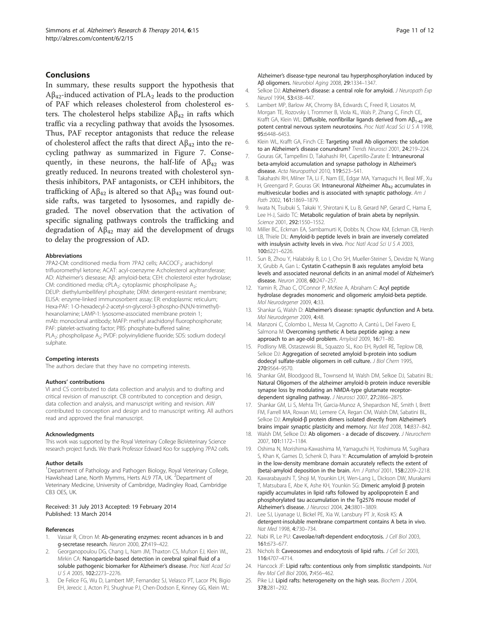#### <span id="page-10-0"></span>Conclusions

In summary, these results support the hypothesis that  $A\beta_{42}$ -induced activation of PLA<sub>2</sub> leads to the production of PAF which releases cholesterol from cholesterol esters. The cholesterol helps stabilize  $\mathbf{A}\beta_{42}$  in rafts which traffic via a recycling pathway that avoids the lysosomes. Thus, PAF receptor antagonists that reduce the release of cholesterol affect the rafts that direct  $A\beta_{42}$  into the recycling pathway as summarized in Figure [7](#page-9-0). Consequently, in these neurons, the half-life of  $A\beta_{42}$  was greatly reduced. In neurons treated with cholesterol synthesis inhibitors, PAF antagonists, or CEH inhibitors, the trafficking of  $A\beta_{42}$  is altered so that  $A\beta_{42}$  was found outside rafts, was targeted to lysosomes, and rapidly degraded. The novel observation that the activation of specific signaling pathways controls the trafficking and degradation of  $A\beta_{42}$  may aid the development of drugs to delay the progression of AD.

#### Abbreviations

7PA2-CM: conditioned media from 7PA2 cells; AACOCF<sub>3</sub>: arachidonyl trifluoromethyl ketone; ACAT: acyl-coenzyme A:cholesterol acyltransferase; AD: Alzheimer's diesease; Aβ: amyloid-beta; CEH: cholesterol ester hydrolase; CM: conditioned media; cPLA<sub>2</sub>: cytoplasmic phospholipase A<sub>2</sub>; DEUP: diethylumbelliferyl phosphate; DRM: detergent-resistant membrane; ELISA: enzyme-linked immunosorbent assay; ER: endoplasmic reticulum; Hexa-PAF: 1-O-hexadecyl-2-acetyl-sn-glycerol-3-phospho-(N,N,N-trimethyl) hexanolamine; LAMP-1: lysosome-associated membrane protein 1; mAb: monoclonal antibody; MAFP: methyl arachidonyl fluorophosphonate; PAF: platelet-activating factor; PBS: phosphate-buffered saline; PLA<sub>2</sub>: phospholipase A<sub>2</sub>; PVDF: polyvinylidiene fluoride; SDS: sodium dodecyl sulphate.

#### Competing interests

The authors declare that they have no competing interests.

#### Authors' contributions

VI and CS contributed to data collection and analysis and to drafting and critical revision of manuscript. CB contributed to conception and design, data collection and analysis, and manuscript writing and revision. AW contributed to conception and design and to manuscript writing. All authors read and approved the final manuscript.

#### Acknowledgments

This work was supported by the Royal Veterinary College BioVeterinary Science research project funds. We thank Professor Edward Koo for supplying 7PA2 cells.

#### Author details

<sup>1</sup>Department of Pathology and Pathogen Biology, Royal Veterinary College, Hawkshead Lane, North Mymms, Herts AL9 7TA, UK. <sup>2</sup>Department of Veterinary Medicine, University of Cambridge, Madingley Road, Cambridge CB3 OES, UK.

#### Received: 31 July 2013 Accepted: 19 February 2014 Published: 13 March 2014

#### References

- 1. Vassar R, Citron M: Ab-generating enzymes: recent advances in b and g-secretase research. Neuron 2000, 27:419–422.
- 2. Georganopoulou DG, Chang L, Nam JM, Thaxton CS, Mufson EJ, Klein WL, Mirkin CA: Nanoparticle-based detection in cerebral spinal fluid of a soluble pathogenic biomarker for Alzheimer's disease. Proc Natl Acad Sci USA 2005, 102:2273–2276.
- 3. De Felice FG, Wu D, Lambert MP, Fernandez SJ, Velasco PT, Lacor PN, Bigio EH, Jerecic J, Acton PJ, Shughrue PJ, Chen-Dodson E, Kinney GG, Klein WL:

Alzheimer's disease-type neuronal tau hyperphosphorylation induced by Aβ oligomers. Neurobiol Aging 2008, 29:1334–1347.

- 4. Selkoe DJ: Alzheimer's disease: a central role for amyloid. J Neuropath Exp Neurol 1994, 53:438–447.
- Lambert MP, Barlow AK, Chromy BA, Edwards C, Freed R, Liosatos M, Morgan TE, Rozovsky I, Trommer B, Viola KL, Wals P, Zhang C, Finch CE, Krafft GA, Klein WL: Diffusible, nonfibrillar ligands derived from Aβ1-42 are potent central nervous system neurotoxins. Proc Natl Acad Sci U S A 1998, 95:6448–6453.
- 6. Klein WL, Krafft GA, Finch CE: Targeting small Ab oligomers: the solution to an Alzheimer's disease conundrum? Trends Neurosci 2001, 24:219–224.
- 7. Gouras GK, Tampellini D, Takahashi RH, Capetillo-Zarate E: Intraneuronal beta-amyloid accumulation and synapse pathology in Alzheimer's disease. Acta Neuropathol 2010, 119:523–541.
- 8. Takahashi RH, Milner TA, Li F, Nam EE, Edgar MA, Yamaguchi H, Beal MF, Xu H, Greengard P, Gouras GK: Intraneuronal Alzheimer Ab<sub>42</sub> accumulates in multivesicular bodies and is associated with synaptic pathology. Am J Path 2002, 161:1869-1879.
- 9. Iwata N, Tsubuki S, Takaki Y, Shirotani K, Lu B, Gerard NP, Gerard C, Hama E, Lee H-J, Saido TC: Metabolic regulation of brain abeta by neprilysin. Science 2001, 292:1550–1552.
- 10. Miller BC, Eckman EA, Sambamurti K, Dobbs N, Chow KM, Eckman CB, Hersh LB, Thiele DL: Amyloid-b peptide levels in brain are inversely correlated with insulysin activity levels in vivo. Proc Natl Acad Sci U S A 2003, 100:6221–6226.
- 11. Sun B, Zhou Y, Halabisky B, Lo I, Cho SH, Mueller-Steiner S, Devidze N, Wang X, Grubb A, Gan L: Cystatin C-cathepsin B axis regulates amyloid beta levels and associated neuronal deficits in an animal model of Alzheimer's disease. Neuron 2008, 60:247–257.
- 12. Yamin R, Zhao C, O'Connor P, McKee A, Abraham C: Acyl peptide hydrolase degrades monomeric and oligomeric amyloid-beta peptide. Mol Neurodegener 2009, 4:33.
- 13. Shankar G, Walsh D: Alzheimer's disease: synaptic dysfunction and A beta. Mol Neurodegener 2009, 4:48.
- 14. Manzoni C, Colombo L, Messa M, Cagnotto A, Cantú L, Del Favero E, Salmona M: Overcoming synthetic A beta peptide aging: a new approach to an age-old problem. Amyloid 2009, 16:71–80.
- 15. Podlisny MB, Ostaszewski BL, Squazzo SL, Koo EH, Rydell RE, Teplow DB, Selkoe DJ: Aggregation of secreted amyloid b-protein into sodium dodecyl sulfate-stable oligomers in cell culture. J Biol Chem 1995, 270:9564–9570.
- 16. Shankar GM, Bloodgood BL, Townsend M, Walsh DM, Selkoe DJ, Sabatini BL: Natural Oligomers of the alzheimer amyloid-b protein induce reversible synapse loss by modulating an NMDA-type glutamate receptordependent signaling pathway. J Neurosci 2007, 27:2866-2875.
- 17. Shankar GM, Li S, Mehta TH, Garcia-Munoz A, Shepardson NE, Smith I, Brett FM, Farrell MA, Rowan MJ, Lemere CA, Regan CM, Walsh DM, Sabatini BL, Selkoe DJ: Amyloid-β protein dimers isolated directly from Alzheimer's brains impair synaptic plasticity and memory. Nat Med 2008, 14:837–842.
- 18. Walsh DM, Selkoe DJ: Ab oligomers a decade of discovery. J Neurochem 2007, 101:1172–1184.
- 19. Oshima N, Morishima-Kawashima M, Yamaguchi H, Yoshimura M, Sugihara S, Khan K, Games D, Schenk D, Ihara Y: Accumulation of amyloid b-protein in the low-density membrane domain accurately reflects the extent of {beta}-amyloid deposition in the brain. Am J Pathol 2001, 158:2209–2218.
- 20. Kawarabayashi T, Shoji M, Younkin LH, Wen-Lang L, Dickson DW, Murakami T, Matsubara E, Abe K, Ashe KH, Younkin SG: Dimeric amyloid β protein rapidly accumulates in lipid rafts followed by apolipoprotein E and phosphorylated tau accumulation in the Tg2576 mouse model of Alzheimer's disease. J Neurosci 2004, 24:3801–3809.
- 21. Lee SJ, Liyanage U, Bickel PE, Xia W, Lansbury PT Jr, Kosik KS: A detergent-insoluble membrane compartment contains A beta in vivo. Nat Med 1998, 4:730–734.
- 22. Nabi IR, Le PU: Caveolae/raft-dependent endocytosis. J Cell Biol 2003, 161:673–677.
- 23. Nichols B: Caveosomes and endocytosis of lipid rafts. J Cell Sci 2003, 116:4707–4714.
- Hancock JF: Lipid rafts: contentious only from simplistic standpoints. Nat Rev Mol Cell Biol 2006, 7:456–462.
- 25. Pike LJ: Lipid rafts: heterogeneity on the high seas. Biochem J 2004, 378:281–292.